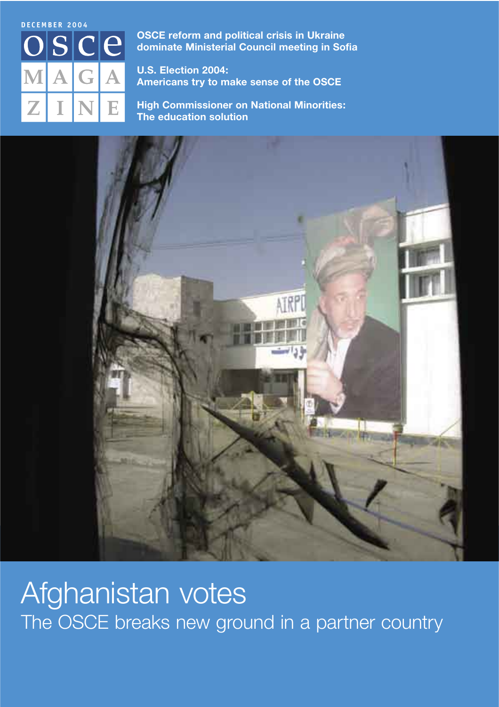

**OSCE reform and political crisis in Ukraine** dominate Ministerial Council meeting in Sofia

U.S. Election 2004: Americans try to make sense of the OSCE

**High Commissioner on National Minorities:** The education solution



Afghanistan votes The OSCE breaks new ground in a partner country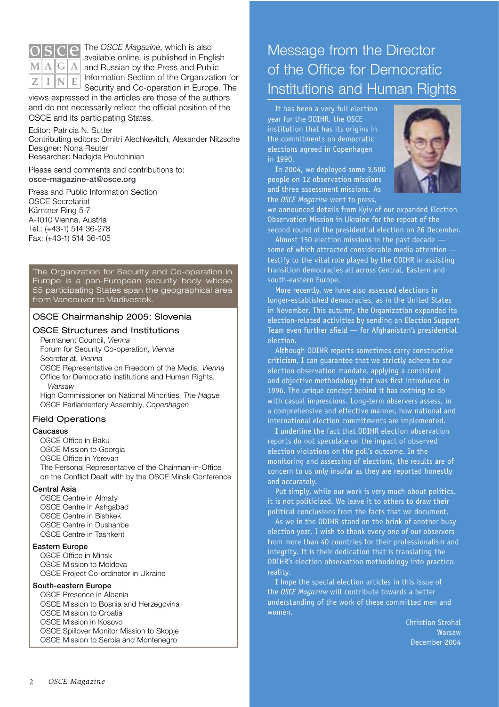

The OSCE Magazine, which is also available online, is published in English  $\mathbf{M}\|\mathbf{A}\|\mathbf{G}\|\mathbf{A}\|$  and Russian by the Press and Public Information Section of the Organization for Security and Co-operation in Europe. The

views expressed in the articles are those of the authors and do not necessarily reflect the official position of the OSCE and its participating States.

Editor: Patricia N. Sutter Contributing editors: Dmitri Alechkevitch, Alexander Nitzsche Designer: Nona Reuter Researcher: Nadejda Poutchinian

Please send comments and contributions to: osce-magazine-at@osce.org

Press and Public Information Section **OSCE Secretariat** Kärntner Ring 5-7 A-1010 Vienna, Austria Tel.: (+43-1) 514 36-278 Fax: (+43-1) 514 36-105

The Organization for Security and Co-operation in Europe is a pan-European security body whose<br>55 participating States span the geographical area from Vancouver to Vladivostok.

## OSCE Chairmanship 2005: Slovenia

## **OSCE Structures and Institutions**

Permanent Council, Vienna Forum for Security Co-operation, Vienna Secretariat, Vienna OSCE Representative on Freedom of the Media, Vienna Office for Democratic Institutions and Human Rights, **Warsaw** 

High Commissioner on National Minorities, The Haque OSCE Parliamentary Assembly, Copenhagen

## **Field Operations**

### Caucasus

OSCE Office in Baku

- OSCE Mission to Georgia
- OSCE Office in Yerevan

The Personal Representative of the Chairman-in-Office on the Conflict Dealt with by the OSCE Minsk Conference

## **Central Asia**

**OSCE Centre in Almaty** OSCE Centre in Ashgabad **OSCE Centre in Bishkek** OSCE Centre in Dushanbe **OSCE Centre in Tashkent** 

## **Eastern Europe**

**OSCE Office in Minsk** 

OSCE Mission to Moldova OSCE Project Co-ordinator in Ukraine

## South-eastern Europe

OSCE Presence in Albania OSCE Mission to Bosnia and Herzegovina OSCE Mission to Croatia OSCE Mission in Kosovo OSCE Spillover Monitor Mission to Skopje OSCE Mission to Serbia and Montenegro

## Message from the Director of the Office for Democratic **Institutions and Human Rights**

It has been a very full election year for the ODIHR, the OSCE institution that has its origins in the commitments on democratic elections agreed in Copenhagen in 1990.

In 2004, we deployed some 3,500 people on 12 observation missions and three assessment missions. As the OSCE Magazine went to press.



we announced details from Kviv of our expanded Election Observation Mission in Ukraine for the repeat of the second round of the presidential election on 26 December.

Almost 150 election missions in the past decade some of which attracted considerable media attention testify to the vital role played by the ODIHR in assisting transition democracies all across Central, Eastern and south-eastern Europe.

More recently, we have also assessed elections in longer-established democracies, as in the United States in November. This autumn, the Organization expanded its election-related activities by sending an Election Support Team even further afield - for Afghanistan's presidential election.

Although ODIHR reports sometimes carry constructive criticism, I can quarantee that we strictly adhere to our election observation mandate, applying a consistent and objective methodology that was first introduced in 1996. The unique concept behind it has nothing to do with casual impressions. Long-term observers assess, in a comprehensive and effective manner, how national and international election commitments are implemented.

I underline the fact that ODIHR election observation reports do not speculate on the impact of observed election violations on the poll's outcome. In the monitoring and assessing of elections, the results are of concern to us only insofar as they are reported honestly and accurately.

Put simply, while our work is very much about politics, it is not politicized. We leave it to others to draw their political conclusions from the facts that we document.

As we in the ODIHR stand on the brink of another busy election year, I wish to thank every one of our observers from more than 40 countries for their professionalism and integrity. It is their dedication that is translating the ODIHR's election observation methodology into practical reality.

I hope the special election articles in this issue of the OSCE Magazine will contribute towards a better understanding of the work of these committed men and women.

> Christian Strohal Warsaw December 2004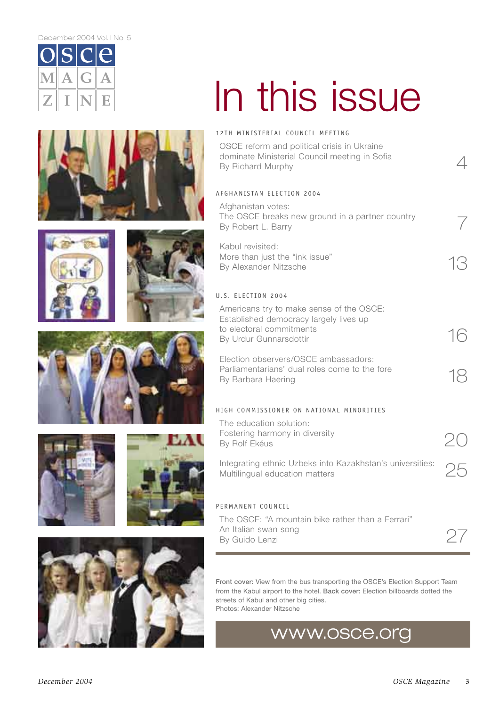#### December 2004 Vol. INo. 5



# In this issue















OSCE reform and political crisis in Ukraine dominate Ministerial Council meeting in Sofia By Richard Murphy

## AFGHANISTAN ELECTION 2004

Afghanistan votes: The OSCE breaks new ground in a partner country By Robert L. Barry Kabul revisited:

More than just the "ink issue" By Alexander Nitzsche

## U.S. FLECTION 2004

Americans try to make sense of the OSCE: Established democracy largely lives up to electoral commitments By Urdur Gunnarsdottir

Flection observers/OSCE ambassadors: Parliamentarians' dual roles come to the fore By Barbara Haering

## HIGH COMMISSIONER ON NATIONAL MINORITIES

| The education solution:                         |  |
|-------------------------------------------------|--|
| Fostering harmony in diversity<br>By Rolf Ekéus |  |
|                                                 |  |

Integrating ethnic Uzbeks into Kazakhstan's universities: 25 Multilingual education matters

## PERMANENT COUNCIL

The OSCE: "A mountain bike rather than a Ferrari" An Italian swan song By Guido Lenzi

Front cover: View from the bus transporting the OSCE's Election Support Team from the Kabul airport to the hotel. Back cover: Election billboards dotted the streets of Kabul and other big cities. Photos: Alexander Nitzsche

## www.osce.org



December 2004

 $\varDelta$ 

 $\sqrt{2}$ 

13

16

18

27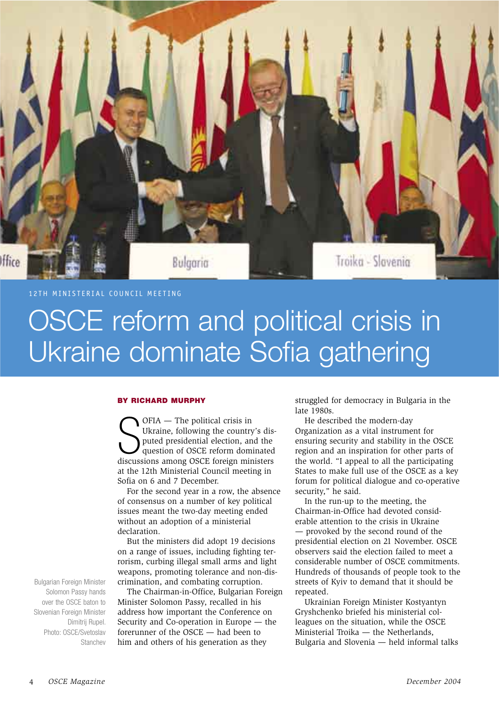12TH MINISTERIAL COUNCIL MEETING

Hice

## OSCE reform and political crisis in Ukraine dominate Sofia gathering

## **BY RICHARD MURPHY**

OFIA - The political crisis in Ukraine, following the country's disputed presidential election, and the question of OSCE reform dominated discussions among OSCE foreign ministers at the 12th Ministerial Council meeting in Sofia on 6 and 7 December.

Bulgaria

For the second year in a row, the absence of consensus on a number of key political issues meant the two-day meeting ended without an adoption of a ministerial declaration.

But the ministers did adopt 19 decisions on a range of issues, including fighting terrorism, curbing illegal small arms and light weapons, promoting tolerance and non-discrimination, and combating corruption.

The Chairman-in-Office, Bulgarian Foreign Minister Solomon Passy, recalled in his address how important the Conference on Security and Co-operation in Europe - the forerunner of the OSCE - had been to him and others of his generation as they

struggled for democracy in Bulgaria in the  $late$  1980s

Troika - Slovenia

He described the modern-day Organization as a vital instrument for ensuring security and stability in the OSCE region and an inspiration for other parts of the world. "I appeal to all the participating States to make full use of the OSCE as a key forum for political dialogue and co-operative security," he said.

In the run-up to the meeting, the Chairman-in-Office had devoted considerable attention to the crisis in Ukraine - provoked by the second round of the presidential election on 21 November. OSCE observers said the election failed to meet a considerable number of OSCE commitments. Hundreds of thousands of people took to the streets of Kyiv to demand that it should be repeated.

Ukrainian Foreign Minister Kostyantyn Gryshchenko briefed his ministerial colleagues on the situation, while the OSCE Ministerial Troika - the Netherlands, Bulgaria and Slovenia - held informal talks

Bulgarian Foreign Minister Solomon Passy hands over the OSCE baton to Slovenian Foreign Minister Dimitrii Rupel. Photo: OSCF/Svetoslav Stanchey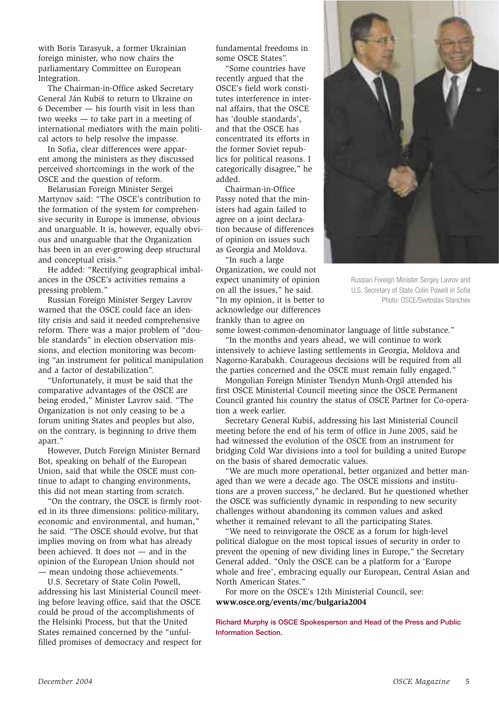with Boris Tarasyuk, a former Ukrainian foreign minister, who now chairs the parliamentary Committee on European Integration.

The Chairman-in-Office asked Secretary General Ján Kubiš to return to Ukraine on 6 December - his fourth visit in less than two weeks - to take part in a meeting of international mediators with the main political actors to help resolve the impasse.

In Sofia, clear differences were apparent among the ministers as they discussed perceived shortcomings in the work of the OSCE and the question of reform.

Belarusian Foreign Minister Sergei Martynov said: "The OSCE's contribution to the formation of the system for comprehensive security in Europe is immense, obvious and unarguable. It is, however, equally obvious and unarguable that the Organization has been in an ever-growing deep structural and conceptual crisis."

He added: "Rectifying geographical imbalances in the OSCE's activities remains a pressing problem."

Russian Foreign Minister Sergey Lavrov warned that the OSCE could face an identity crisis and said it needed comprehensive reform. There was a major problem of "double standards" in election observation missions, and election monitoring was becoming "an instrument for political manipulation and a factor of destabilization".

"Unfortunately, it must be said that the comparative advantages of the OSCE are being eroded," Minister Lavrov said. "The Organization is not only ceasing to be a forum uniting States and peoples but also, on the contrary, is beginning to drive them apart."

However, Dutch Foreign Minister Bernard Bot, speaking on behalf of the European Union, said that while the OSCE must continue to adapt to changing environments, this did not mean starting from scratch.

"On the contrary, the OSCE is firmly rooted in its three dimensions: politico-military, economic and environmental, and human," he said. "The OSCE should evolve, but that implies moving on from what has already been achieved. It does not - and in the opinion of the European Union should not - mean undoing those achievements."

U.S. Secretary of State Colin Powell,

addressing his last Ministerial Council meeting before leaving office, said that the OSCE could be proud of the accomplishments of the Helsinki Process, but that the United States remained concerned by the "unfulfilled promises of democracy and respect for

fundamental freedoms in some OSCE States".

"Some countries have recently argued that the OSCE's field work constitutes interference in internal affairs, that the OSCE has 'double standards', and that the OSCE has concentrated its efforts in the former Soviet republics for political reasons. I categorically disagree," he added.

Chairman-in-Office Passy noted that the ministers had again failed to agree on a joint declaration because of differences of opinion on issues such as Georgia and Moldova.

"In such a large Organization, we could not expect unanimity of opinion on all the issues," he said. "In my opinion, it is better to acknowledge our differences frankly than to agree on



Russian Foreign Minister Sergey Lavrov and U.S. Secretary of State Colin Powell in Sofia Photo: OSCE/Svetoslav Stanchev

some lowest-common-denominator language of little substance."

"In the months and years ahead, we will continue to work intensively to achieve lasting settlements in Georgia, Moldova and Nagorno-Karabakh. Courageous decisions will be required from all the parties concerned and the OSCE must remain fully engaged."

Mongolian Foreign Minister Tsendyn Munh-Orgil attended his first OSCE Ministerial Council meeting since the OSCE Permanent Council granted his country the status of OSCE Partner for Co-operation a week earlier.

Secretary General Kubiš, addressing his last Ministerial Council meeting before the end of his term of office in June 2005, said he had witnessed the evolution of the OSCE from an instrument for bridging Cold War divisions into a tool for building a united Europe on the basis of shared democratic values.

"We are much more operational, better organized and better managed than we were a decade ago. The OSCE missions and institutions are a proven success," he declared. But he questioned whether the OSCE was sufficiently dynamic in responding to new security challenges without abandoning its common values and asked whether it remained relevant to all the participating States.

"We need to reinvigorate the OSCE as a forum for high-level political dialogue on the most topical issues of security in order to prevent the opening of new dividing lines in Europe," the Secretary General added. "Only the OSCE can be a platform for a 'Europe whole and free', embracing equally our European, Central Asian and North American States."

For more on the OSCE's 12th Ministerial Council, see: www.osce.org/events/mc/bulgaria2004

Richard Murphy is OSCE Spokesperson and Head of the Press and Public **Information Section.**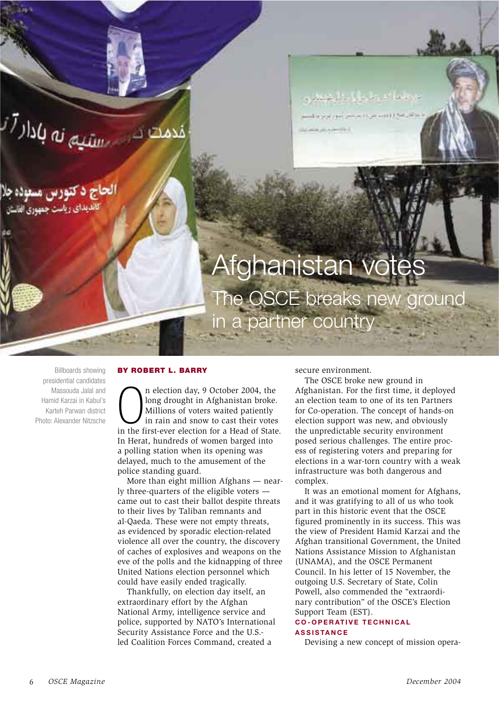

he OSCE breaks new ground in a partner country

**Billboards showing** presidential candidates Massouda Jalal and Hamid Karzai in Kabul's Karteh Parwan district Photo: Alexander Nitzsche

### **BY ROBERT L. BARRY**

n election day, 9 October 2004, the long drought in Afghanistan broke. Millions of voters waited patiently in rain and snow to cast their votes in the first-ever election for a Head of State. In Herat, hundreds of women barged into a polling station when its opening was delayed, much to the amusement of the police standing guard.

More than eight million Afghans - nearly three-quarters of the eligible voters came out to cast their ballot despite threats to their lives by Taliban remnants and al-Qaeda. These were not empty threats, as evidenced by sporadic election-related violence all over the country, the discovery of caches of explosives and weapons on the eve of the polls and the kidnapping of three United Nations election personnel which could have easily ended tragically.

Thankfully, on election day itself, an extraordinary effort by the Afghan National Army, intelligence service and police, supported by NATO's International Security Assistance Force and the U.S.led Coalition Forces Command, created a

secure environment.

The OSCE broke new ground in Afghanistan. For the first time, it deployed an election team to one of its ten Partners for Co-operation. The concept of hands-on election support was new, and obviously the unpredictable security environment posed serious challenges. The entire process of registering voters and preparing for elections in a war-torn country with a weak infrastructure was both dangerous and complex.

It was an emotional moment for Afghans, and it was gratifying to all of us who took part in this historic event that the OSCE figured prominently in its success. This was the view of President Hamid Karzai and the Afghan transitional Government, the United Nations Assistance Mission to Afghanistan (UNAMA), and the OSCE Permanent Council. In his letter of 15 November, the outgoing U.S. Secretary of State, Colin Powell, also commended the "extraordinary contribution" of the OSCE's Election Support Team (EST).

### **CO-OPERATIVE TECHNICAL ASSISTANCE**

Devising a new concept of mission opera-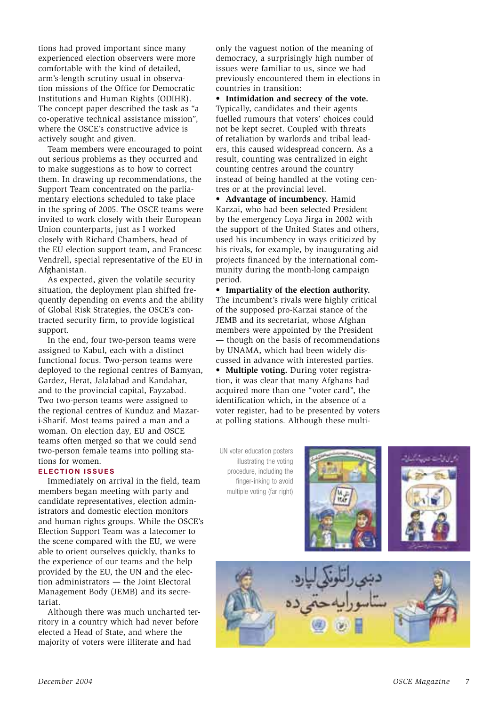tions had proved important since many experienced election observers were more comfortable with the kind of detailed, arm's-length scrutiny usual in observation missions of the Office for Democratic Institutions and Human Rights (ODIHR). The concept paper described the task as "a co-operative technical assistance mission", where the OSCE's constructive advice is actively sought and given.

Team members were encouraged to point out serious problems as they occurred and to make suggestions as to how to correct them. In drawing up recommendations, the Support Team concentrated on the parliamentary elections scheduled to take place in the spring of 2005. The OSCE teams were invited to work closely with their European Union counterparts, just as I worked closely with Richard Chambers, head of the EU election support team, and Francesc Vendrell, special representative of the EU in Afghanistan.

As expected, given the volatile security situation, the deployment plan shifted frequently depending on events and the ability of Global Risk Strategies, the OSCE's contracted security firm, to provide logistical support.

In the end, four two-person teams were assigned to Kabul, each with a distinct functional focus. Two-person teams were deployed to the regional centres of Bamyan, Gardez, Herat, Jalalabad and Kandahar, and to the provincial capital, Fayzabad. Two two-person teams were assigned to the regional centres of Kunduz and Mazari-Sharif. Most teams paired a man and a woman. On election day, EU and OSCE teams often merged so that we could send two-person female teams into polling stations for women.

## **ELECTION ISSUES**

Immediately on arrival in the field, team members began meeting with party and candidate representatives, election administrators and domestic election monitors and human rights groups. While the OSCE's Election Support Team was a latecomer to the scene compared with the EU, we were able to orient ourselves quickly, thanks to the experience of our teams and the help provided by the EU, the UN and the election administrators - the Joint Electoral Management Body (JEMB) and its secretariat.

Although there was much uncharted territory in a country which had never before elected a Head of State, and where the majority of voters were illiterate and had

only the vaguest notion of the meaning of democracy, a surprisingly high number of issues were familiar to us, since we had previously encountered them in elections in countries in transition:

• Intimidation and secrecy of the vote. Typically, candidates and their agents fuelled rumours that voters' choices could not be kept secret. Coupled with threats of retaliation by warlords and tribal leaders, this caused widespread concern. As a result, counting was centralized in eight counting centres around the country instead of being handled at the voting centres or at the provincial level.

• Advantage of incumbency. Hamid Karzai, who had been selected President by the emergency Loya Jirga in 2002 with the support of the United States and others, used his incumbency in ways criticized by his rivals, for example, by inaugurating aid projects financed by the international community during the month-long campaign period.

• Impartiality of the election authority. The incumbent's rivals were highly critical of the supposed pro-Karzai stance of the JEMB and its secretariat, whose Afghan members were appointed by the President - though on the basis of recommendations by UNAMA, which had been widely discussed in advance with interested parties. • Multiple voting. During voter registration, it was clear that many Afghans had acquired more than one "voter card", the identification which, in the absence of a voter register, had to be presented by voters at polling stations. Although these multi-

UN voter education posters illustrating the voting procedure, including the finger-inking to avoid multiple voting (far right)





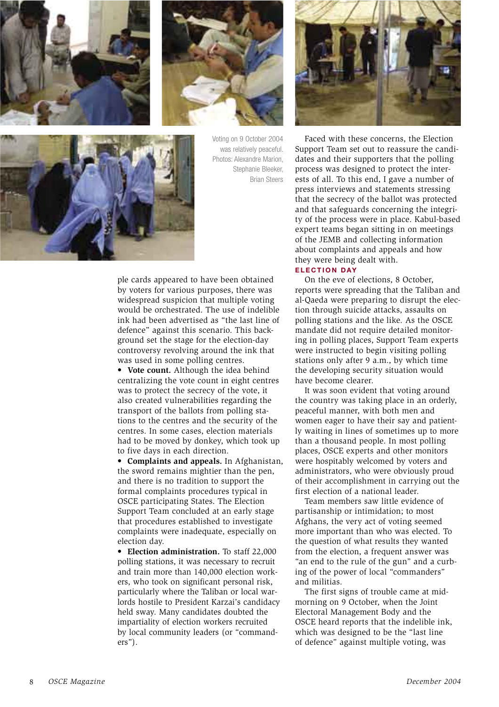



Voting on 9 October 2004 was relatively peaceful. Photos: Alexandre Marion, Stephanie Bleeker, **Brian Steers** 



ple cards appeared to have been obtained by voters for various purposes, there was widespread suspicion that multiple voting would be orchestrated. The use of indelible ink had been advertised as "the last line of defence" against this scenario. This background set the stage for the election-day controversy revolving around the ink that was used in some polling centres.

• Vote count. Although the idea behind centralizing the vote count in eight centres was to protect the secrecy of the vote, it also created vulnerabilities regarding the transport of the ballots from polling stations to the centres and the security of the centres. In some cases, election materials had to be moved by donkey, which took up to five days in each direction.

• Complaints and appeals. In Afghanistan, the sword remains mightier than the pen, and there is no tradition to support the formal complaints procedures typical in OSCE participating States. The Election Support Team concluded at an early stage that procedures established to investigate complaints were inadequate, especially on election day.

• Election administration. To staff 22,000 polling stations, it was necessary to recruit and train more than 140,000 election workers, who took on significant personal risk, particularly where the Taliban or local warlords hostile to President Karzai's candidacy held sway. Many candidates doubted the impartiality of election workers recruited by local community leaders (or "command $ers$ ").



Faced with these concerns, the Election Support Team set out to reassure the candidates and their supporters that the polling process was designed to protect the interests of all. To this end, I gave a number of press interviews and statements stressing that the secrecy of the ballot was protected and that safeguards concerning the integrity of the process were in place. Kabul-based expert teams began sitting in on meetings of the JEMB and collecting information about complaints and appeals and how they were being dealt with.

## **ELECTION DAY**

On the eve of elections, 8 October, reports were spreading that the Taliban and al-Qaeda were preparing to disrupt the election through suicide attacks, assaults on polling stations and the like. As the OSCE mandate did not require detailed monitoring in polling places, Support Team experts were instructed to begin visiting polling stations only after 9 a.m., by which time the developing security situation would have become clearer.

It was soon evident that voting around the country was taking place in an orderly, peaceful manner, with both men and women eager to have their say and patiently waiting in lines of sometimes up to more than a thousand people. In most polling places, OSCE experts and other monitors were hospitably welcomed by voters and administrators, who were obviously proud of their accomplishment in carrying out the first election of a national leader.

Team members saw little evidence of partisanship or intimidation; to most Afghans, the very act of voting seemed more important than who was elected. To the question of what results they wanted from the election, a frequent answer was "an end to the rule of the gun" and a curbing of the power of local "commanders" and militias.

The first signs of trouble came at midmorning on 9 October, when the Joint Electoral Management Body and the OSCE heard reports that the indelible ink, which was designed to be the "last line of defence" against multiple voting, was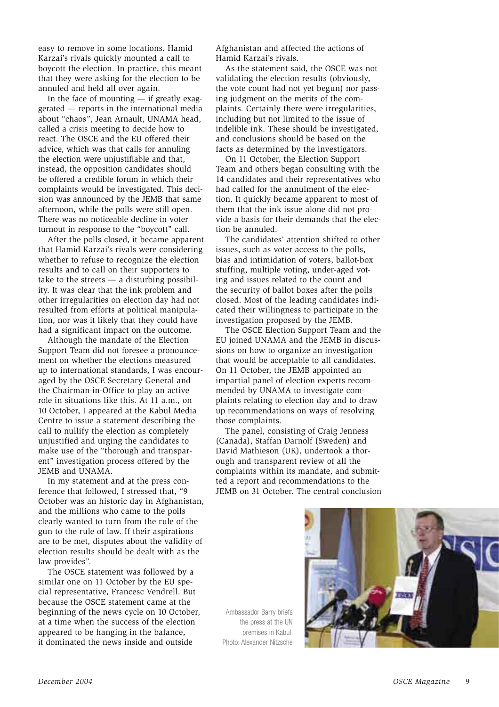easy to remove in some locations. Hamid Karzai's rivals quickly mounted a call to boycott the election. In practice, this meant that they were asking for the election to be annuled and held all over again.

In the face of mounting  $-$  if greatly exaggerated - reports in the international media about "chaos", Jean Arnault, UNAMA head, called a crisis meeting to decide how to react. The OSCE and the EU offered their advice, which was that calls for annuling the election were unjustifiable and that, instead, the opposition candidates should be offered a credible forum in which their complaints would be investigated. This decision was announced by the JEMB that same afternoon, while the polls were still open. There was no noticeable decline in voter turnout in response to the "boycott" call.

After the polls closed, it became apparent that Hamid Karzai's rivals were considering whether to refuse to recognize the election results and to call on their supporters to take to the streets  $-$  a disturbing possibility. It was clear that the ink problem and other irregularities on election day had not resulted from efforts at political manipulation, nor was it likely that they could have had a significant impact on the outcome.

Although the mandate of the Election Support Team did not foresee a pronouncement on whether the elections measured up to international standards, I was encouraged by the OSCE Secretary General and the Chairman-in-Office to play an active role in situations like this. At 11 a.m., on 10 October, I appeared at the Kabul Media Centre to issue a statement describing the call to nullify the election as completely unjustified and urging the candidates to make use of the "thorough and transparent" investigation process offered by the JEMB and UNAMA.

In my statement and at the press conference that followed, I stressed that, "9 October was an historic day in Afghanistan, and the millions who came to the polls clearly wanted to turn from the rule of the gun to the rule of law. If their aspirations are to be met, disputes about the validity of election results should be dealt with as the law provides".

The OSCE statement was followed by a similar one on 11 October by the EU special representative, Francesc Vendrell. But because the OSCE statement came at the beginning of the news cycle on 10 October, at a time when the success of the election appeared to be hanging in the balance, it dominated the news inside and outside

Afghanistan and affected the actions of Hamid Karzai's rivals.

As the statement said, the OSCE was not validating the election results (obviously, the vote count had not yet begun) nor passing judgment on the merits of the complaints. Certainly there were irregularities, including but not limited to the issue of indelible ink. These should be investigated, and conclusions should be based on the facts as determined by the investigators.

On 11 October, the Election Support Team and others began consulting with the 14 candidates and their representatives who had called for the annulment of the election. It quickly became apparent to most of them that the ink issue alone did not provide a basis for their demands that the election be annuled

The candidates' attention shifted to other issues, such as voter access to the polls, bias and intimidation of voters, ballot-box stuffing, multiple voting, under-aged voting and issues related to the count and the security of ballot boxes after the polls closed. Most of the leading candidates indicated their willingness to participate in the investigation proposed by the JEMB.

The OSCE Election Support Team and the EU joined UNAMA and the JEMB in discussions on how to organize an investigation that would be acceptable to all candidates. On 11 October, the JEMB appointed an impartial panel of election experts recommended by UNAMA to investigate complaints relating to election day and to draw up recommendations on ways of resolving those complaints.

The panel, consisting of Craig Jenness (Canada), Staffan Darnolf (Sweden) and David Mathieson (UK), undertook a thorough and transparent review of all the complaints within its mandate, and submitted a report and recommendations to the JEMB on 31 October. The central conclusion

Ambassador Barry briefs the press at the UN premises in Kabul. Photo: Alexander Nitzsche

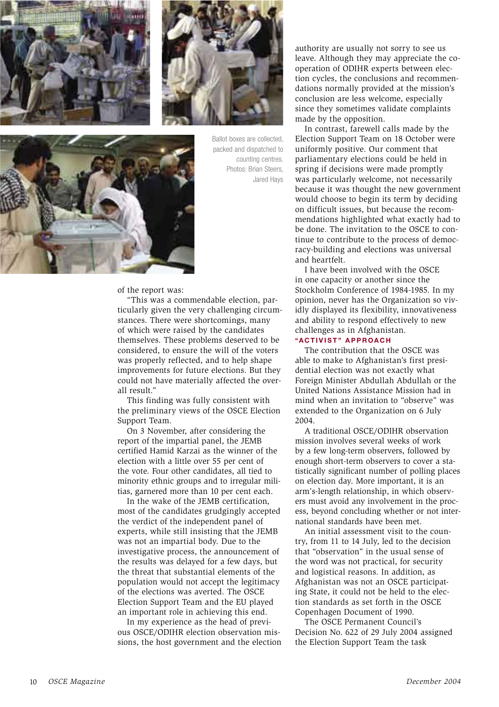



Ballot boxes are collected, packed and dispatched to counting centres. Photos: Brian Steers, Jared Hays



## of the report was:

"This was a commendable election, particularly given the very challenging circumstances. There were shortcomings, many of which were raised by the candidates themselves. These problems deserved to be considered, to ensure the will of the voters was properly reflected, and to help shape improvements for future elections. But they could not have materially affected the overall result."

This finding was fully consistent with the preliminary views of the OSCE Election Support Team.

On 3 November, after considering the report of the impartial panel, the JEMB certified Hamid Karzai as the winner of the election with a little over 55 per cent of the vote. Four other candidates, all tied to minority ethnic groups and to irregular militias, garnered more than 10 per cent each.

In the wake of the JEMB certification, most of the candidates grudgingly accepted the verdict of the independent panel of experts, while still insisting that the JEMB was not an impartial body. Due to the investigative process, the announcement of the results was delayed for a few days, but the threat that substantial elements of the population would not accept the legitimacy of the elections was averted. The OSCE Election Support Team and the EU played an important role in achieving this end.

In my experience as the head of previous OSCE/ODIHR election observation missions, the host government and the election authority are usually not sorry to see us leave. Although they may appreciate the cooperation of ODIHR experts between election cycles, the conclusions and recommendations normally provided at the mission's conclusion are less welcome, especially since they sometimes validate complaints made by the opposition.

In contrast, farewell calls made by the Election Support Team on 18 October were uniformly positive. Our comment that parliamentary elections could be held in spring if decisions were made promptly was particularly welcome, not necessarily because it was thought the new government would choose to begin its term by deciding on difficult issues, but because the recommendations highlighted what exactly had to be done. The invitation to the OSCE to continue to contribute to the process of democracy-building and elections was universal and heartfelt.

I have been involved with the OSCE in one capacity or another since the Stockholm Conference of 1984-1985. In my opinion, never has the Organization so vividly displayed its flexibility, innovativeness and ability to respond effectively to new challenges as in Afghanistan.

## "ACTIVIST" APPROACH

The contribution that the OSCE was able to make to Afghanistan's first presidential election was not exactly what Foreign Minister Abdullah Abdullah or the United Nations Assistance Mission had in mind when an invitation to "observe" was extended to the Organization on 6 July 2004.

A traditional OSCE/ODIHR observation mission involves several weeks of work by a few long-term observers, followed by enough short-term observers to cover a statistically significant number of polling places on election day. More important, it is an arm's-length relationship, in which observers must avoid any involvement in the process, beyond concluding whether or not international standards have been met.

An initial assessment visit to the country, from 11 to 14 July, led to the decision that "observation" in the usual sense of the word was not practical, for security and logistical reasons. In addition, as Afghanistan was not an OSCE participating State, it could not be held to the election standards as set forth in the OSCE Copenhagen Document of 1990.

The OSCE Permanent Council's Decision No. 622 of 29 July 2004 assigned the Election Support Team the task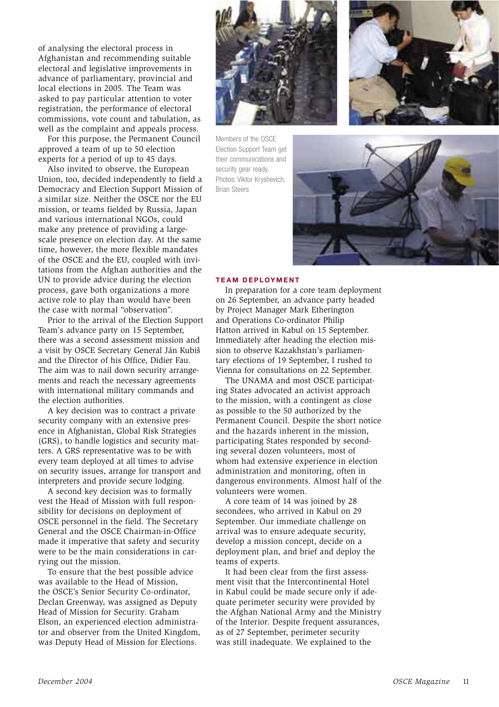of analysing the electoral process in Afghanistan and recommending suitable electoral and legislative improvements in advance of parliamentary, provincial and local elections in 2005. The Team was asked to pay particular attention to voter registration, the performance of electoral commissions, vote count and tabulation, as well as the complaint and appeals process.

For this purpose, the Permanent Council approved a team of up to 50 election experts for a period of up to 45 days.

Also invited to observe, the European Union, too, decided independently to field a Democracy and Election Support Mission of a similar size. Neither the OSCE nor the EU mission, or teams fielded by Russia, Japan and various international NGOs, could make any pretence of providing a largescale presence on election day. At the same time, however, the more flexible mandates of the OSCE and the EU, coupled with invitations from the Afghan authorities and the UN to provide advice during the election process, gave both organizations a more active role to play than would have been the case with normal "observation".

Prior to the arrival of the Election Support Team's advance party on 15 September, there was a second assessment mission and a visit by OSCE Secretary General Ján Kubiš and the Director of his Office, Didier Fau. The aim was to nail down security arrangements and reach the necessary agreements with international military commands and the election authorities.

A key decision was to contract a private security company with an extensive presence in Afghanistan, Global Risk Strategies (GRS), to handle logistics and security matters. A GRS representative was to be with every team deployed at all times to advise on security issues, arrange for transport and interpreters and provide secure lodging.

A second key decision was to formally vest the Head of Mission with full responsibility for decisions on deployment of OSCE personnel in the field. The Secretary General and the OSCE Chairman-in-Office made it imperative that safety and security were to be the main considerations in carrying out the mission.

To ensure that the best possible advice was available to the Head of Mission, the OSCE's Senior Security Co-ordinator, Declan Greenway, was assigned as Deputy Head of Mission for Security. Graham Elson, an experienced election administrator and observer from the United Kingdom, was Deputy Head of Mission for Elections.



Members of the OSCE Election Support Team get their communications and security gear ready. Photos: Viktor Kryshevich, **Brian Steers** 





#### **TEAM DEPLOYMENT**

In preparation for a core team deployment on 26 September, an advance party headed by Project Manager Mark Etherington and Operations Co-ordinator Philip Hatton arrived in Kabul on 15 September. Immediately after heading the election mission to observe Kazakhstan's parliamentary elections of 19 September, I rushed to Vienna for consultations on 22 September.

The UNAMA and most OSCE participating States advocated an activist approach to the mission, with a contingent as close as possible to the 50 authorized by the Permanent Council. Despite the short notice and the hazards inherent in the mission, participating States responded by seconding several dozen volunteers, most of whom had extensive experience in election administration and monitoring, often in dangerous environments. Almost half of the volunteers were women.

A core team of 14 was joined by 28 secondees, who arrived in Kabul on 29 September. Our immediate challenge on arrival was to ensure adequate security, develop a mission concept, decide on a deployment plan, and brief and deploy the teams of experts.

It had been clear from the first assessment visit that the Intercontinental Hotel in Kabul could be made secure only if adequate perimeter security were provided by the Afghan National Army and the Ministry of the Interior. Despite frequent assurances, as of 27 September, perimeter security was still inadequate. We explained to the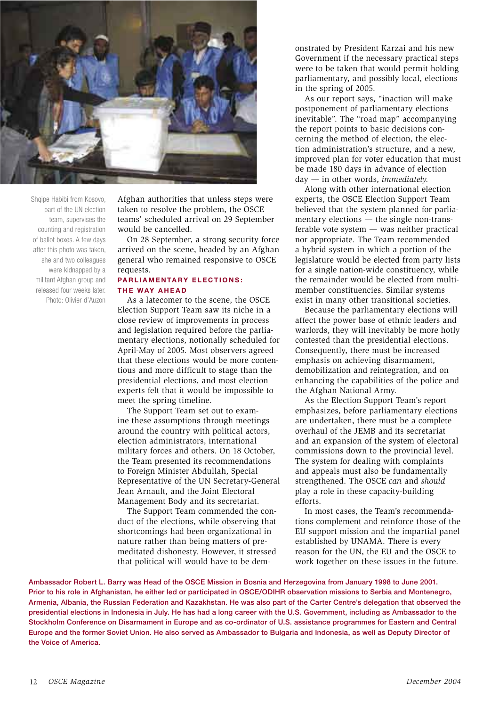

Shqipe Habibi from Kosovo, part of the UN election team, supervises the counting and registration of ballot boxes. A few days after this photo was taken, she and two colleagues were kidnapped by a militant Afghan group and released four weeks later. Photo: Olivier d'Auzon

Afghan authorities that unless steps were taken to resolve the problem, the OSCE teams' scheduled arrival on 29 September would be cancelled

On 28 September, a strong security force arrived on the scene, headed by an Afghan general who remained responsive to OSCE requests.

## **PARLIAMENTARY ELECTIONS:** THE WAY AHEAD

As a latecomer to the scene, the OSCE Election Support Team saw its niche in a close review of improvements in process and legislation required before the parliamentary elections, notionally scheduled for April-May of 2005. Most observers agreed that these elections would be more contentious and more difficult to stage than the presidential elections, and most election experts felt that it would be impossible to meet the spring timeline.

The Support Team set out to examine these assumptions through meetings around the country with political actors, election administrators, international military forces and others. On 18 October, the Team presented its recommendations to Foreign Minister Abdullah, Special Representative of the UN Secretary-General Jean Arnault, and the Joint Electoral Management Body and its secretariat.

The Support Team commended the conduct of the elections, while observing that shortcomings had been organizational in nature rather than being matters of premeditated dishonesty. However, it stressed that political will would have to be demonstrated by President Karzai and his new Government if the necessary practical steps were to be taken that would permit holding parliamentary, and possibly local, elections in the spring of 2005.

As our report says, "inaction will make postponement of parliamentary elections inevitable". The "road map" accompanying the report points to basic decisions concerning the method of election, the election administration's structure, and a new, improved plan for voter education that must be made 180 days in advance of election  $day - in other words, immediately.$ 

Along with other international election experts, the OSCE Election Support Team believed that the system planned for parliamentary elections  $-$  the single non-transferable vote system - was neither practical nor appropriate. The Team recommended a hybrid system in which a portion of the legislature would be elected from party lists for a single nation-wide constituency, while the remainder would be elected from multimember constituencies. Similar systems exist in many other transitional societies.

Because the parliamentary elections will affect the power base of ethnic leaders and warlords, they will inevitably be more hotly contested than the presidential elections. Consequently, there must be increased emphasis on achieving disarmament, demobilization and reintegration, and on enhancing the capabilities of the police and the Afghan National Army.

As the Election Support Team's report emphasizes, before parliamentary elections are undertaken, there must be a complete overhaul of the JEMB and its secretariat and an expansion of the system of electoral commissions down to the provincial level. The system for dealing with complaints and appeals must also be fundamentally strengthened. The OSCE can and should play a role in these capacity-building efforts.

In most cases, the Team's recommendations complement and reinforce those of the EU support mission and the impartial panel established by UNAMA. There is every reason for the UN, the EU and the OSCE to work together on these issues in the future.

Ambassador Robert L. Barry was Head of the OSCE Mission in Bosnia and Herzegovina from January 1998 to June 2001. Prior to his role in Afghanistan, he either led or participated in OSCE/ODIHR observation missions to Serbia and Montenegro, Armenia, Albania, the Russian Federation and Kazakhstan. He was also part of the Carter Centre's delegation that observed the presidential elections in Indonesia in July. He has had a long career with the U.S. Government, including as Ambassador to the Stockholm Conference on Disarmament in Europe and as co-ordinator of U.S. assistance programmes for Eastern and Central Europe and the former Soviet Union. He also served as Ambassador to Bulgaria and Indonesia, as well as Deputy Director of the Voice of America.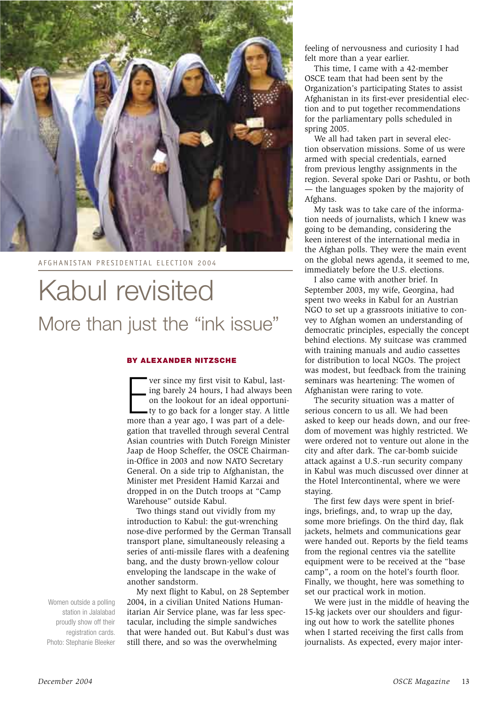

AFGHANISTAN PRESIDENTIAL ELECTION 2004

## Kabul revisited More than just the "ink issue"

## BY ALEXANDER NITZSCHE

ver since my first visit to Kabul, lasting barely 24 hours, I had always been on the lookout for an ideal opportuni- $\bullet$  ty to go back for a longer stay. A little more than a year ago, I was part of a delegation that travelled through several Central Asian countries with Dutch Foreign Minister Jaap de Hoop Scheffer, the OSCE Chairmanin-Office in 2003 and now NATO Secretary General. On a side trip to Afghanistan, the Minister met President Hamid Karzai and dropped in on the Dutch troops at "Camp Warehouse" outside Kabul.

Two things stand out vividly from mv introduction to Kabul: the gut-wrenching nose-dive performed by the German Transall transport plane, simultaneously releasing a series of anti-missile flares with a deafening bang, and the dusty brown-yellow colour enveloping the landscape in the wake of another sandstorm.

My next flight to Kabul, on 28 September 2004, in a civilian United Nations Humanitarian Air Service plane, was far less spectacular, including the simple sandwiches that were handed out. But Kabul's dust was still there, and so was the overwhelming

feeling of nervousness and curiosity I had felt more than a year earlier.

This time, I came with a 42-member OSCE team that had been sent by the Organization's participating States to assist Afghanistan in its first-ever presidential election and to put together recommendations for the parliamentary polls scheduled in spring  $2005$ .

We all had taken part in several election observation missions. Some of us were armed with special credentials, earned from previous lengthy assignments in the region. Several spoke Dari or Pashtu, or both — the languages spoken by the majority of Afghans.

My task was to take care of the information needs of journalists, which I knew was going to be demanding, considering the keen interest of the international media in the Afghan polls. They were the main event on the global news agenda, it seemed to me, immediately before the U.S. elections.

I also came with another brief. In September 2003, my wife, Georgina, had spent two weeks in Kabul for an Austrian NGO to set up a grassroots initiative to convey to Afghan women an understanding of democratic principles, especially the concept behind elections. My suitcase was crammed with training manuals and audio cassettes for distribution to local NGOs. The project was modest, but feedback from the training seminars was heartening: The women of Afghanistan were raring to vote.

The security situation was a matter of serious concern to us all. We had been asked to keep our heads down, and our freedom of movement was highly restricted. We were ordered not to venture out alone in the city and after dark. The car-bomb suicide attack against a U.S.-run security company in Kabul was much discussed over dinner at the Hotel Intercontinental, where we were staying.

The first few days were spent in briefings, briefings, and, to wrap up the day, some more briefings. On the third day, flak jackets, helmets and communications gear were handed out. Reports by the field teams from the regional centres via the satellite equipment were to be received at the "base camp", a room on the hotel's fourth floor. Finally, we thought, here was something to set our practical work in motion.

We were just in the middle of heaving the 15-kg jackets over our shoulders and figuring out how to work the satellite phones when I started receiving the first calls from journalists. As expected, every major inter-

Women outside a polling station in Jalalabad proudly show off their registration cards. Photo: Stephanie Bleeker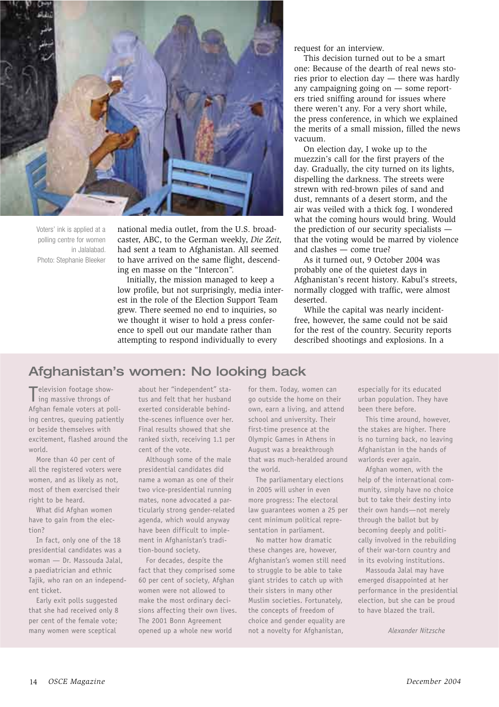

Voters' ink is applied at a polling centre for women in Jalalabad. Photo: Stephanie Bleeker

national media outlet, from the U.S. broadcaster, ABC, to the German weekly, Die Zeit, had sent a team to Afghanistan. All seemed to have arrived on the same flight, descending en masse on the "Intercon".

Initially, the mission managed to keep a low profile, but not surprisingly, media interest in the role of the Election Support Team grew. There seemed no end to inquiries, so we thought it wiser to hold a press conference to spell out our mandate rather than attempting to respond individually to every

request for an interview.

This decision turned out to be a smart one: Because of the dearth of real news stories prior to election day - there was hardly any campaigning going on - some reporters tried sniffing around for issues where there weren't any. For a very short while, the press conference, in which we explained the merits of a small mission, filled the news vacuum.

On election day, I woke up to the muezzin's call for the first prayers of the day. Gradually, the city turned on its lights, dispelling the darkness. The streets were strewn with red-brown piles of sand and dust, remnants of a desert storm, and the air was veiled with a thick fog. I wondered what the coming hours would bring. Would the prediction of our security specialists that the voting would be marred by violence and clashes  $-$  come true?

As it turned out, 9 October 2004 was probably one of the quietest days in Afghanistan's recent history. Kabul's streets, normally clogged with traffic, were almost deserted.

While the capital was nearly incidentfree, however, the same could not be said for the rest of the country. Security reports described shootings and explosions. In a

## Afghanistan's women: No looking back

Television footage show-I ing massive throngs of Afghan female voters at polling centres, queuing patiently or beside themselves with excitement, flashed around the world.

More than 40 per cent of all the registered voters were women, and as likely as not, most of them exercised their right to be heard.

What did Afghan women have to gain from the election?

In fact, only one of the 18 presidential candidates was a woman - Dr. Massouda Jalal, a paediatrician and ethnic Tajik, who ran on an independent ticket.

Early exit polls suggested that she had received only 8 per cent of the female vote; many women were sceptical

about her "independent" status and felt that her husband exerted considerable behindthe-scenes influence over her. Final results showed that she ranked sixth, receiving 1.1 per cent of the vote.

Although some of the male presidential candidates did name a woman as one of their two vice-presidential running mates, none advocated a particularly strong gender-related agenda, which would anyway have been difficult to implement in Afghanistan's tradition-bound society.

For decades, despite the fact that they comprised some 60 per cent of society, Afghan women were not allowed to make the most ordinary decisions affecting their own lives. The 2001 Bonn Agreement opened up a whole new world

for them. Today, women can go outside the home on their own, earn a living, and attend school and university. Their first-time presence at the Olympic Games in Athens in August was a breakthrough that was much-heralded around the world.

The parliamentary elections in 2005 will usher in even more progress: The electoral law guarantees women a 25 per cent minimum political representation in parliament.

No matter how dramatic these changes are, however, Afghanistan's women still need to struggle to be able to take giant strides to catch up with their sisters in many other Muslim societies. Fortunately, the concepts of freedom of choice and gender equality are not a novelty for Afghanistan,

especially for its educated urban population. They have been there before.

This time around, however, the stakes are higher. There is no turning back, no leaving Afghanistan in the hands of warlords ever again.

Afghan women, with the help of the international community, simply have no choice but to take their destiny into their own hands-not merely through the ballot but by becoming deeply and politically involved in the rebuilding of their war-torn country and in its evolving institutions.

Massouda Jalal may have emerged disappointed at her performance in the presidential election, but she can be proud to have blazed the trail.

Alexander Nitzsche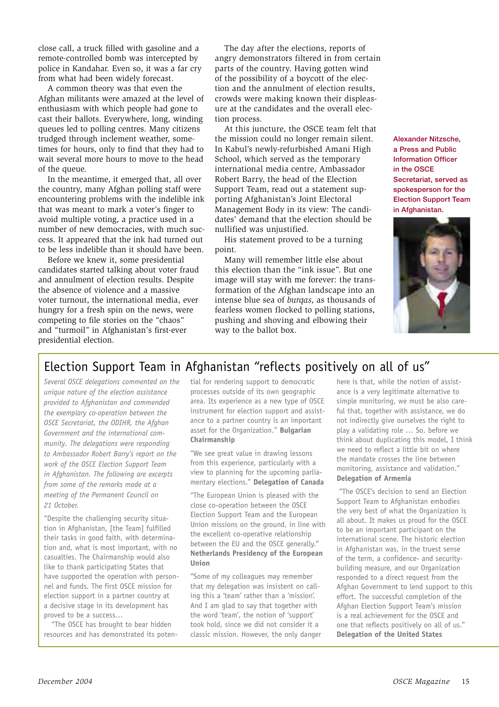close call, a truck filled with gasoline and a remote-controlled bomb was intercepted by police in Kandahar. Even so, it was a far cry from what had been widely forecast.

A common theory was that even the Afghan militants were amazed at the level of enthusiasm with which people had gone to cast their ballots. Everywhere, long, winding queues led to polling centres. Many citizens trudged through inclement weather, sometimes for hours, only to find that they had to wait several more hours to move to the head of the queue.

In the meantime, it emerged that, all over the country, many Afghan polling staff were encountering problems with the indelible ink that was meant to mark a voter's finger to avoid multiple voting, a practice used in a number of new democracies, with much success. It appeared that the ink had turned out to be less indelible than it should have been.

Before we knew it, some presidential candidates started talking about voter fraud and annulment of election results. Despite the absence of violence and a massive voter turnout, the international media, ever hungry for a fresh spin on the news, were competing to file stories on the "chaos" and "turmoil" in Afghanistan's first-ever presidential election.

The day after the elections, reports of angry demonstrators filtered in from certain parts of the country. Having gotten wind of the possibility of a boycott of the election and the annulment of election results, crowds were making known their displeasure at the candidates and the overall election process.

At this juncture, the OSCE team felt that the mission could no longer remain silent. In Kabul's newly-refurbished Amani High School, which served as the temporary international media centre, Ambassador Robert Barry, the head of the Election Support Team, read out a statement supporting Afghanistan's Joint Electoral Management Body in its view: The candidates' demand that the election should be nullified was uniustified.

His statement proved to be a turning point.

Many will remember little else about this election than the "ink issue". But one image will stay with me forever: the transformation of the Afghan landscape into an intense blue sea of burgas, as thousands of fearless women flocked to polling stations, pushing and shoving and elbowing their way to the ballot box.

Alexander Nitzsche, a Press and Public **Information Officer** in the OSCE Secretariat, served as spokesperson for the **Election Support Team** in Afghanistan.



## Election Support Team in Afghanistan "reflects positively on all of us"

Several OSCE delegations commented on the unique nature of the election assistance provided to Afahanistan and commended the exemplary co-operation between the OSCE Secretariat, the ODIHR, the Afghan Government and the international community. The delegations were responding to Ambassador Robert Barry's report on the work of the OSCE Election Support Team in Afghanistan. The following are excerpts from some of the remarks made at a meeting of the Permanent Council on 21 October.

"Despite the challenging security situation in Afghanistan, [the Team] fulfilled their tasks in good faith, with determination and, what is most important, with no casualties. The Chairmanship would also like to thank participating States that have supported the operation with personnel and funds. The first OSCE mission for election support in a partner country at a decisive stage in its development has proved to be a success...

"The OSCE has brought to bear hidden resources and has demonstrated its potential for rendering support to democratic processes outside of its own geographic area. Its experience as a new type of OSCE instrument for election support and assistance to a partner country is an important asset for the Organization." Bulgarian Chairmanship

"We see great value in drawing lessons from this experience, particularly with a view to planning for the upcoming parliamentary elections." Delegation of Canada

"The European Union is pleased with the close co-operation between the OSCE Election Support Team and the European Union missions on the ground, in line with the excellent co-operative relationship between the EU and the OSCE generally." Netherlands Presidency of the European Union

"Some of my colleagues may remember that my delegation was insistent on calling this a 'team' rather than a 'mission'. And I am glad to say that together with the word 'team', the notion of 'support' took hold, since we did not consider it a classic mission. However, the only danger

here is that, while the notion of assistance is a very legitimate alternative to simple monitoring, we must be also careful that, together with assistance, we do not indirectly give ourselves the right to play a validating role ... So, before we think about duplicating this model, I think we need to reflect a little bit on where the mandate crosses the line between monitoring, assistance and validation." **Delegation of Armenia** 

"The OSCE's decision to send an Election Support Team to Afghanistan embodies the very best of what the Organization is all about. It makes us proud for the OSCE to be an important participant on the international scene. The historic election in Afghanistan was, in the truest sense of the term, a confidence- and securitybuilding measure, and our Organization responded to a direct request from the Afghan Government to lend support to this effort. The successful completion of the Afghan Election Support Team's mission is a real achievement for the OSCE and one that reflects positively on all of us." **Delegation of the United States**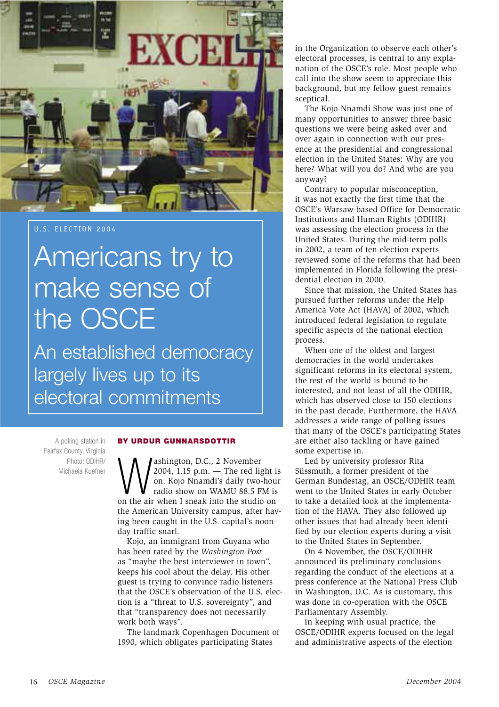

## U.S. ELECTION 2004

## Americans try to make sense of the OSCE

An established democracy largely lives up to its electoral commitments

A polling station in Fairfax County, Virginia Photo: ODIHR/ Michaela Kuefner

#### **BY URDUR GUNNARSDOTTIR**

ashington, D.C., 2 November 2004, 1.15 p.m. - The red light is on. Kojo Nnamdi's daily two-hour radio show on WAMU 88.5 FM is on the air when I sneak into the studio on the American University campus, after haying been caught in the U.S. capital's noonday traffic snarl.

Kojo, an immigrant from Guyana who has been rated by the Washington Post as "maybe the best interviewer in town", keeps his cool about the delay. His other guest is trying to convince radio listeners that the OSCE's observation of the U.S. election is a "threat to U.S. sovereignty", and that "transparency does not necessarily work both ways".

The landmark Copenhagen Document of 1990, which obligates participating States

in the Organization to observe each other's electoral processes, is central to any explanation of the OSCE's role. Most people who call into the show seem to appreciate this background, but my fellow guest remains sceptical.

The Kojo Nnamdi Show was just one of many opportunities to answer three basic questions we were being asked over and over again in connection with our presence at the presidential and congressional election in the United States: Why are you here? What will you do? And who are you anyway?

Contrary to popular misconception, it was not exactly the first time that the OSCE's Warsaw-based Office for Democratic Institutions and Human Rights (ODIHR) was assessing the election process in the United States. During the mid-term polls in 2002, a team of ten election experts reviewed some of the reforms that had been implemented in Florida following the presidential election in 2000.

Since that mission, the United States has pursued further reforms under the Help America Vote Act (HAVA) of 2002, which introduced federal legislation to regulate specific aspects of the national election process.

When one of the oldest and largest democracies in the world undertakes significant reforms in its electoral system, the rest of the world is bound to be interested, and not least of all the ODIHR, which has observed close to 150 elections in the past decade. Furthermore, the HAVA addresses a wide range of polling issues that many of the OSCE's participating States are either also tackling or have gained some expertise in.

Led by university professor Rita Süssmuth, a former president of the German Bundestag, an OSCE/ODHIR team went to the United States in early October to take a detailed look at the implementation of the HAVA. They also followed up other issues that had already been identified by our election experts during a visit to the United States in September.

On 4 November, the OSCE/ODIHR announced its preliminary conclusions regarding the conduct of the elections at a press conference at the National Press Club in Washington, D.C. As is customary, this was done in co-operation with the OSCE Parliamentary Assembly.

In keeping with usual practice, the OSCE/ODIHR experts focused on the legal and administrative aspects of the election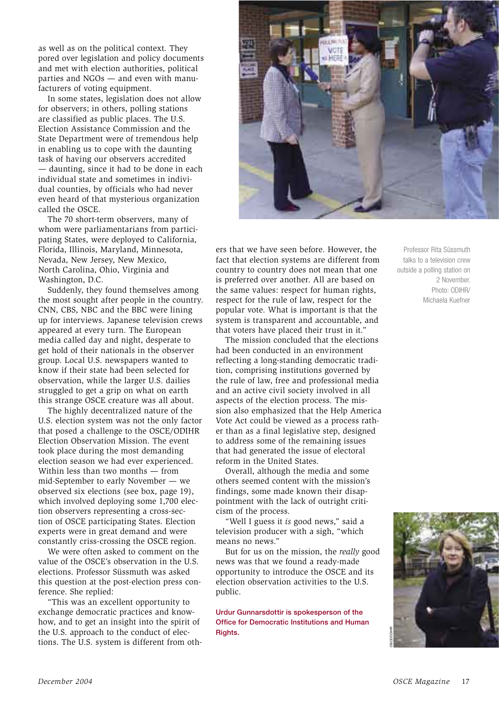as well as on the political context. They pored over legislation and policy documents and met with election authorities, political parties and NGOs - and even with manufacturers of voting equipment.

In some states, legislation does not allow for observers; in others, polling stations are classified as public places. The U.S. Election Assistance Commission and the State Department were of tremendous help in enabling us to cope with the daunting task of having our observers accredited - daunting, since it had to be done in each individual state and sometimes in individual counties, by officials who had never even heard of that mysterious organization called the OSCE.

The 70 short-term observers, many of whom were parliamentarians from participating States, were deployed to California, Florida, Illinois, Maryland, Minnesota, Nevada, New Jersey, New Mexico, North Carolina, Ohio, Virginia and Washington, D.C.

Suddenly, they found themselves among the most sought after people in the country. CNN, CBS, NBC and the BBC were lining up for interviews. Japanese television crews appeared at every turn. The European media called day and night, desperate to get hold of their nationals in the observer group. Local U.S. newspapers wanted to know if their state had been selected for observation, while the larger U.S. dailies struggled to get a grip on what on earth this strange OSCE creature was all about.

The highly decentralized nature of the U.S. election system was not the only factor that posed a challenge to the OSCE/ODIHR Election Observation Mission. The event took place during the most demanding election season we had ever experienced. Within less than two months  $-$  from mid-September to early November - we observed six elections (see box, page 19), which involved deploying some 1,700 election observers representing a cross-section of OSCE participating States. Election experts were in great demand and were constantly criss-crossing the OSCE region.

We were often asked to comment on the value of the OSCE's observation in the U.S. elections. Professor Süssmuth was asked this question at the post-election press conference. She replied:

"This was an excellent opportunity to exchange democratic practices and knowhow, and to get an insight into the spirit of the U.S. approach to the conduct of elections. The U.S. system is different from oth-



ers that we have seen before. However, the fact that election systems are different from country to country does not mean that one is preferred over another. All are based on the same values: respect for human rights, respect for the rule of law, respect for the popular vote. What is important is that the system is transparent and accountable, and that voters have placed their trust in it."

The mission concluded that the elections had been conducted in an environment reflecting a long-standing democratic tradition, comprising institutions governed by the rule of law, free and professional media and an active civil society involved in all aspects of the election process. The mission also emphasized that the Help America Vote Act could be viewed as a process rather than as a final legislative step, designed to address some of the remaining issues that had generated the issue of electoral reform in the United States.

Overall, although the media and some others seemed content with the mission's findings, some made known their disappointment with the lack of outright criticism of the process.

"Well I guess it is good news," said a television producer with a sigh, "which means no news."

But for us on the mission, the really good news was that we found a ready-made opportunity to introduce the OSCE and its election observation activities to the U.S. public.

Urdur Gunnarsdottir is spokesperson of the Office for Democratic Institutions and Human Rights.

Professor Rita Süssmuth talks to a television crew outside a polling station on 2 November. Photo: ODIHR/ Michaela Kuefner

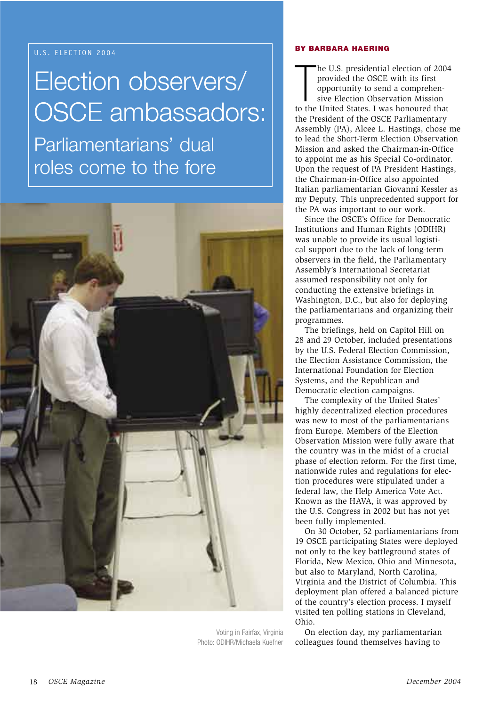## U.S. ELECTION 2004

## Election observers/ **OSCE ambassadors:**

Parliamentarians' dual roles come to the fore



Voting in Fairfax, Virginia Photo: ODIHR/Michaela Kuefner

## **BY BARBARA HAERING**

he U.S. presidential election of 2004 provided the OSCE with its first opportunity to send a comprehensive Election Observation Mission to the United States. I was honoured that the President of the OSCE Parliamentary Assembly (PA), Alcee L. Hastings, chose me to lead the Short-Term Election Observation Mission and asked the Chairman-in-Office to appoint me as his Special Co-ordinator. Upon the request of PA President Hastings, the Chairman-in-Office also appointed Italian parliamentarian Giovanni Kessler as my Deputy. This unprecedented support for the PA was important to our work.

Since the OSCE's Office for Democratic Institutions and Human Rights (ODIHR) was unable to provide its usual logistical support due to the lack of long-term observers in the field, the Parliamentary Assembly's International Secretariat assumed responsibility not only for conducting the extensive briefings in Washington, D.C., but also for deploying the parliamentarians and organizing their programmes.

The briefings, held on Capitol Hill on 28 and 29 October, included presentations by the U.S. Federal Election Commission, the Election Assistance Commission, the International Foundation for Election Systems, and the Republican and Democratic election campaigns.

The complexity of the United States' highly decentralized election procedures was new to most of the parliamentarians from Europe. Members of the Election Observation Mission were fully aware that the country was in the midst of a crucial phase of election reform. For the first time, nationwide rules and regulations for election procedures were stipulated under a federal law, the Help America Vote Act. Known as the HAVA, it was approved by the U.S. Congress in 2002 but has not yet been fully implemented.

On 30 October, 52 parliamentarians from 19 OSCE participating States were deployed not only to the key battleground states of Florida, New Mexico, Ohio and Minnesota, but also to Maryland, North Carolina, Virginia and the District of Columbia. This deployment plan offered a balanced picture of the country's election process. I myself visited ten polling stations in Cleveland, Ohio.

On election day, my parliamentarian colleagues found themselves having to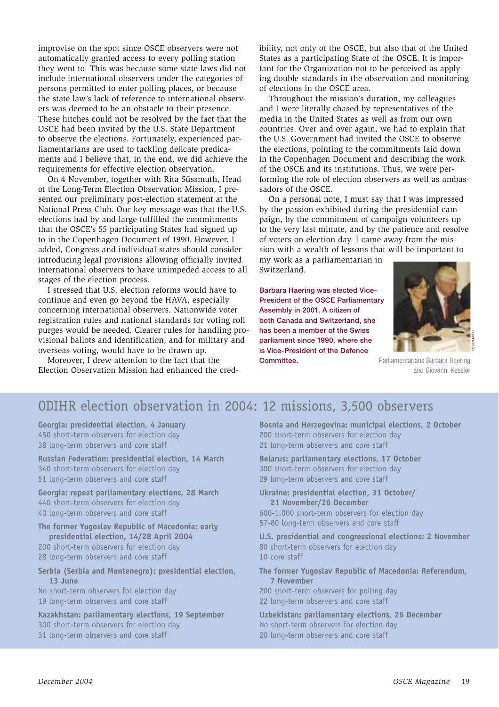improvise on the spot since OSCE observers were not automatically granted access to every polling station they went to. This was because some state laws did not include international observers under the categories of persons permitted to enter polling places, or because the state law's lack of reference to international observers was deemed to be an obstacle to their presence. These hitches could not be resolved by the fact that the OSCE had been invited by the U.S. State Department to observe the elections. Fortunately, experienced parliamentarians are used to tackling delicate predicaments and I believe that, in the end, we did achieve the requirements for effective election observation.

On 4 November, together with Rita Süssmuth, Head of the Long-Term Election Observation Mission, I presented our preliminary post-election statement at the National Press Club. Our key message was that the U.S. elections had by and large fulfilled the commitments that the OSCE's 55 participating States had signed up to in the Copenhagen Document of 1990. However, I added, Congress and individual states should consider introducing legal provisions allowing officially invited international observers to have unimpeded access to all stages of the election process.

I stressed that U.S. election reforms would have to continue and even go beyond the HAVA, especially concerning international observers. Nationwide voter registration rules and national standards for voting roll purges would be needed. Clearer rules for handling provisional ballots and identification, and for military and overseas voting, would have to be drawn up.

Moreover, I drew attention to the fact that the Election Observation Mission had enhanced the cred-

ibility, not only of the OSCE, but also that of the United States as a participating State of the OSCE. It is important for the Organization not to be perceived as applying double standards in the observation and monitoring of elections in the OSCE area.

Throughout the mission's duration, my colleagues and I were literally chased by representatives of the media in the United States as well as from our own countries. Over and over again, we had to explain that the U.S. Government had invited the OSCE to observe the elections, pointing to the commitments laid down in the Copenhagen Document and describing the work of the OSCE and its institutions. Thus, we were performing the role of election observers as well as ambassadors of the OSCE.

On a personal note, I must say that I was impressed by the passion exhibited during the presidential campaign, by the commitment of campaign volunteers up to the very last minute, and by the patience and resolve of voters on election day. I came away from the mission with a wealth of lessons that will be important to

my work as a parliamentarian in Switzerland.

Barbara Haering was elected Vice-**President of the OSCE Parliamentary** Assembly in 2001. A citizen of both Canada and Switzerland, she has been a member of the Swiss parliament since 1990, where she is Vice-President of the Defence Committee.



Parliamentarians Barbara Haering and Giovanni Kessler

## ODIHR election observation in 2004: 12 missions, 3,500 observers

Georgia: presidential election, 4 January 450 short-term observers for election day 38 long-term observers and core staff

Russian Federation: presidential election, 14 March 340 short-term observers for election day 51 long-term observers and core staff

Georgia: repeat parliamentary elections, 28 March 440 short-term observers for election day 40 long-term observers and core staff

The former Yugoslav Republic of Macedonia: early presidential election, 14/28 April 2004

200 short-term observers for election day 28 long-term observers and core staff

Serbia (Serbia and Montenegro): presidential election, 13 June

No short-term observers for election day 19 long-term observers and core staff

Kazakhstan: parliamentary elections, 19 September 300 short-term observers for election day 31 long-term observers and core staff

Bosnia and Herzegovina: municipal elections, 2 October 200 short-term observers for election day 21 long-term observers and core staff

**Belarus: parliamentary elections, 17 October** 300 short-term observers for election day 29 long-term observers and core staff

Ukraine: presidential election, 31 October/ 21 November/26 December 600-1,000 short-term observers for election day 57-80 long-term observers and core staff

U.S. presidential and congressional elections: 2 November 80 short-term observers for election day 10 core staff

The former Yugoslav Republic of Macedonia: Referendum, **7 November** 

200 short-term observers for polling day 22 long-term observers and core staff

Uzbekistan: parliamentary elections, 26 December No short-term observers for election day 20 long-term observers and core staff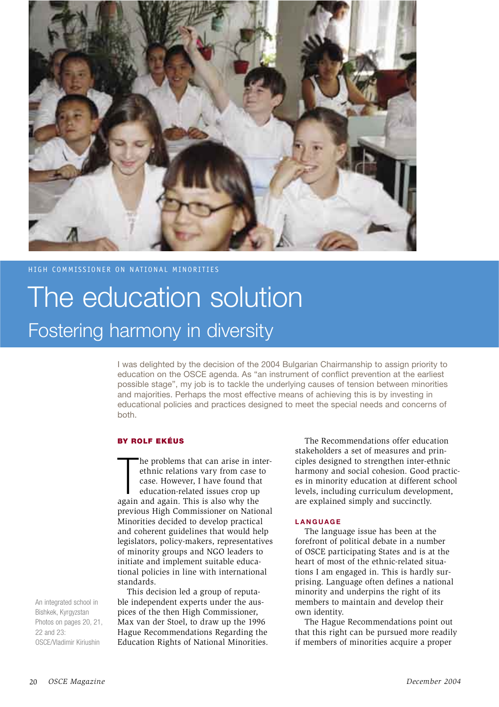

## HIGH COMMISSIONER ON NATIONAL MINORITIES

## The education solution Fostering harmony in diversity

I was delighted by the decision of the 2004 Bulgarian Chairmanship to assign priority to education on the OSCE agenda. As "an instrument of conflict prevention at the earliest possible stage", my job is to tackle the underlying causes of tension between minorities and majorities. Perhaps the most effective means of achieving this is by investing in educational policies and practices designed to meet the special needs and concerns of both.

## **BY ROLF EKÉUS**

he problems that can arise in interethnic relations vary from case to case. However, I have found that education-related issues crop up again and again. This is also why the previous High Commissioner on National Minorities decided to develop practical and coherent guidelines that would help legislators, policy-makers, representatives of minority groups and NGO leaders to initiate and implement suitable educational policies in line with international standards.

This decision led a group of reputable independent experts under the auspices of the then High Commissioner, Max van der Stoel, to draw up the 1996 Hague Recommendations Regarding the Education Rights of National Minorities.

The Recommendations offer education stakeholders a set of measures and principles designed to strengthen inter-ethnic harmony and social cohesion. Good practices in minority education at different school levels, including curriculum development, are explained simply and succinctly.

## **LANGUAGE**

The language issue has been at the forefront of political debate in a number of OSCE participating States and is at the heart of most of the ethnic-related situations I am engaged in. This is hardly surprising. Language often defines a national minority and underpins the right of its members to maintain and develop their own identity.

The Hague Recommendations point out that this right can be pursued more readily if members of minorities acquire a proper

An integrated school in Bishkek, Kyrgyzstan Photos on pages 20, 21. 22 and  $23<sup>1</sup>$ OSCE/Vladimir Kiriushin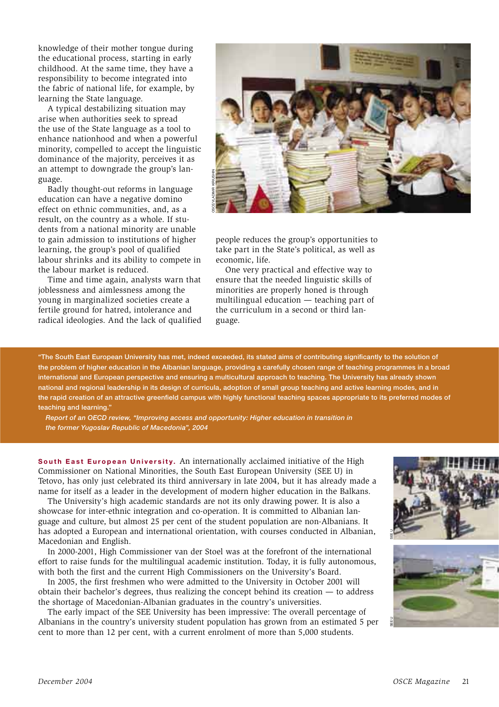knowledge of their mother tongue during the educational process, starting in early childhood. At the same time, they have a responsibility to become integrated into the fabric of national life, for example, by learning the State language.

A typical destabilizing situation may arise when authorities seek to spread the use of the State language as a tool to enhance nationhood and when a powerful minority, compelled to accept the linguistic dominance of the majority, perceives it as an attempt to downgrade the group's language.

Badly thought-out reforms in language education can have a negative domino effect on ethnic communities, and, as a result, on the country as a whole. If students from a national minority are unable to gain admission to institutions of higher learning, the group's pool of qualified labour shrinks and its ability to compete in the labour market is reduced.

Time and time again, analysts warn that joblessness and aimlessness among the young in marginalized societies create a fertile ground for hatred, intolerance and radical ideologies. And the lack of qualified



people reduces the group's opportunities to take part in the State's political, as well as economic, life.

One very practical and effective way to ensure that the needed linguistic skills of minorities are properly honed is through multilingual education — teaching part of the curriculum in a second or third language.

"The South East European University has met, indeed exceeded, its stated aims of contributing significantly to the solution of the problem of higher education in the Albanian language, providing a carefully chosen range of teaching programmes in a broad international and European perspective and ensuring a multicultural approach to teaching. The University has already shown national and regional leadership in its design of curricula, adoption of small group teaching and active learning modes, and in the rapid creation of an attractive greenfield campus with highly functional teaching spaces appropriate to its preferred modes of teaching and learning."

Report of an OECD review, "Improving access and opportunity: Higher education in transition in the former Yugoslav Republic of Macedonia", 2004

South East European University. An internationally acclaimed initiative of the High Commissioner on National Minorities, the South East European University (SEE U) in Tetovo, has only just celebrated its third anniversary in late 2004, but it has already made a name for itself as a leader in the development of modern higher education in the Balkans.

The University's high academic standards are not its only drawing power. It is also a showcase for inter-ethnic integration and co-operation. It is committed to Albanian language and culture, but almost 25 per cent of the student population are non-Albanians. It has adopted a European and international orientation, with courses conducted in Albanian, Macedonian and English.

In 2000-2001, High Commissioner van der Stoel was at the forefront of the international effort to raise funds for the multilingual academic institution. Today, it is fully autonomous, with both the first and the current High Commissioners on the University's Board.

In 2005, the first freshmen who were admitted to the University in October 2001 will obtain their bachelor's degrees, thus realizing the concept behind its creation  $-$  to address the shortage of Macedonian-Albanian graduates in the country's universities.

The early impact of the SEE University has been impressive: The overall percentage of Albanians in the country's university student population has grown from an estimated 5 per cent to more than 12 per cent, with a current enrolment of more than 5,000 students.



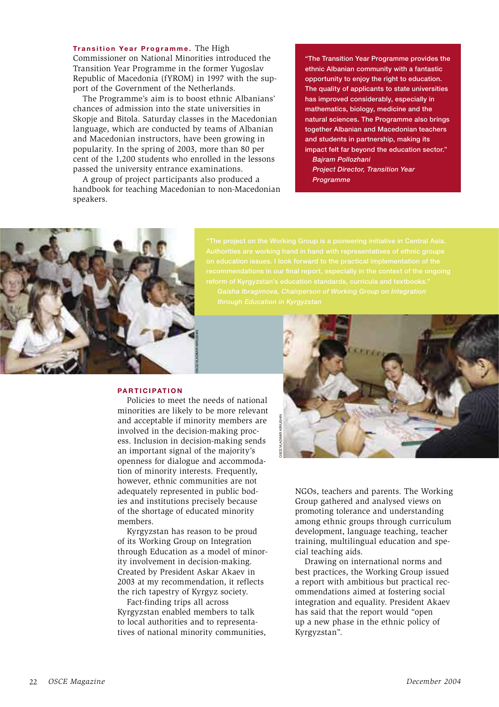Transition Year Programme. The High Commissioner on National Minorities introduced the Transition Year Programme in the former Yugoslav Republic of Macedonia (fYROM) in 1997 with the support of the Government of the Netherlands.

The Programme's aim is to boost ethnic Albanians' chances of admission into the state universities in Skopje and Bitola. Saturday classes in the Macedonian language, which are conducted by teams of Albanian and Macedonian instructors, have been growing in popularity. In the spring of 2003, more than 80 per cent of the 1,200 students who enrolled in the lessons passed the university entrance examinations.

A group of project participants also produced a handbook for teaching Macedonian to non-Macedonian speakers.

"The Transition Year Programme provides the ethnic Albanian community with a fantastic opportunity to enjoy the right to education. The quality of applicants to state universities has improved considerably, especially in mathematics, biology, medicine and the natural sciences. The Programme also brings together Albanian and Macedonian teachers and students in partnership, making its impact felt far beyond the education sector."

Bajram Pollozhani **Project Director, Transition Year** Programme



#### **PARTICIPATION**

Policies to meet the needs of national minorities are likely to be more relevant and acceptable if minority members are involved in the decision-making process. Inclusion in decision-making sends an important signal of the majority's openness for dialogue and accommodation of minority interests. Frequently, however, ethnic communities are not adequately represented in public bodies and institutions precisely because of the shortage of educated minority members.

Kyrgyzstan has reason to be proud of its Working Group on Integration through Education as a model of minority involvement in decision-making. Created by President Askar Akaev in 2003 at my recommendation, it reflects the rich tapestry of Kyrgyz society.

Fact-finding trips all across Kyrgyzstan enabled members to talk to local authorities and to representatives of national minority communities, NGOs, teachers and parents. The Working Group gathered and analysed views on promoting tolerance and understanding among ethnic groups through curriculum development, language teaching, teacher training, multilingual education and special teaching aids.

Drawing on international norms and best practices, the Working Group issued a report with ambitious but practical recommendations aimed at fostering social integration and equality. President Akaev has said that the report would "open" up a new phase in the ethnic policy of Kyrgyzstan".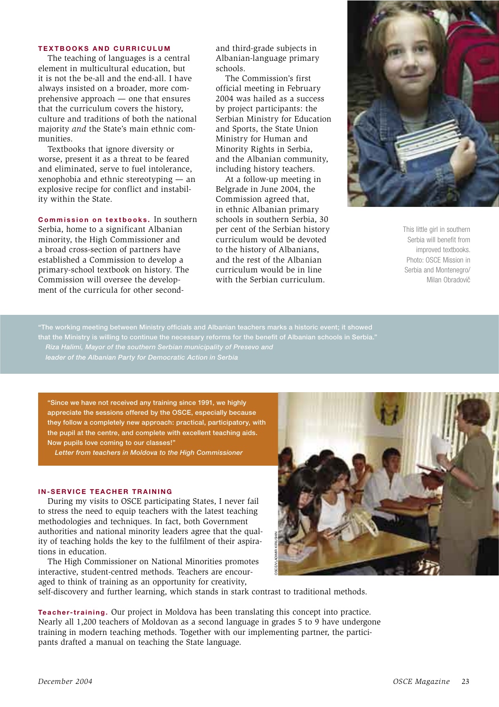#### **TEXTBOOKS AND CURRICULUM**

The teaching of languages is a central element in multicultural education, but it is not the be-all and the end-all. I have always insisted on a broader, more comprehensive approach  $-$  one that ensures that the curriculum covers the history. culture and traditions of both the national majority and the State's main ethnic communities.

Textbooks that ignore diversity or worse, present it as a threat to be feared and eliminated, serve to fuel intolerance, xenophobia and ethnic stereotyping — an explosive recipe for conflict and instability within the State.

Commission on textbooks. In southern Serbia, home to a significant Albanian minority, the High Commissioner and a broad cross-section of partners have established a Commission to develop a primary-school textbook on history. The Commission will oversee the development of the curricula for other secondand third-grade subjects in Albanian-language primary schools.

The Commission's first official meeting in February 2004 was hailed as a success by project participants: the Serbian Ministry for Education and Sports, the State Union Ministry for Human and Minority Rights in Serbia, and the Albanian community, including history teachers.

At a follow-up meeting in Belgrade in June 2004, the Commission agreed that, in ethnic Albanian primary schools in southern Serbia, 30 per cent of the Serbian history curriculum would be devoted to the history of Albanians, and the rest of the Albanian curriculum would be in line with the Serbian curriculum.



This little girl in southern Serbia will benefit from improved textbooks. Photo: OSCE Mission in Serbia and Montenegro/ Milan Obradovič

that the Ministry is willing to continue the necessary reforms for the benefit of Albanian schools in Serbia." Riza Halimi. Mavor of the southern Serbian municipality of Presevo and

"Since we have not received any training since 1991, we highly appreciate the sessions offered by the OSCE, especially because they follow a completely new approach: practical, participatory, with the pupil at the centre, and complete with excellent teaching aids. Now pupils love coming to our classes!"

Letter from teachers in Moldova to the High Commissioner

## **IN-SERVICE TEACHER TRAINING**

During my visits to OSCE participating States, I never fail to stress the need to equip teachers with the latest teaching methodologies and techniques. In fact, both Government authorities and national minority leaders agree that the quality of teaching holds the key to the fulfilment of their aspirations in education.

The High Commissioner on National Minorities promotes interactive, student-centred methods. Teachers are encouraged to think of training as an opportunity for creativity,

self-discovery and further learning, which stands in stark contrast to traditional methods.

**Teacher-training.** Our project in Moldova has been translating this concept into practice. Nearly all 1,200 teachers of Moldovan as a second language in grades 5 to 9 have undergone training in modern teaching methods. Together with our implementing partner, the participants drafted a manual on teaching the State language.

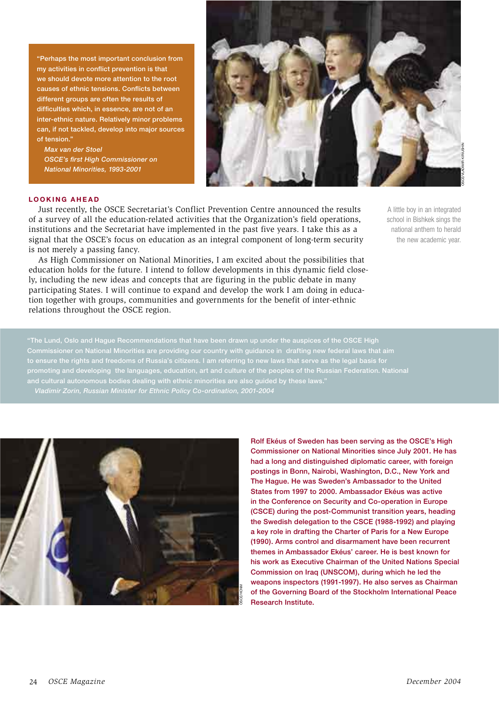"Perhaps the most important conclusion from my activities in conflict prevention is that we should devote more attention to the root causes of ethnic tensions. Conflicts between different groups are often the results of difficulties which, in essence, are not of an inter-ethnic nature. Relatively minor problems can, if not tackled, develop into major sources of tension."

Max van der Stoel **OSCE's first High Commissioner on** National Minorities, 1993-2001



## **LOOKING AHFAD**

Just recently, the OSCE Secretariat's Conflict Prevention Centre announced the results of a survey of all the education-related activities that the Organization's field operations, institutions and the Secretariat have implemented in the past five years. I take this as a signal that the OSCE's focus on education as an integral component of long-term security is not merely a passing fancy.

As High Commissioner on National Minorities, I am excited about the possibilities that education holds for the future. I intend to follow developments in this dynamic field closely, including the new ideas and concepts that are figuring in the public debate in many participating States. I will continue to expand and develop the work I am doing in education together with groups, communities and governments for the benefit of inter-ethnic relations throughout the OSCE region.

A little boy in an integrated school in Bishkek sings the national anthem to herald the new academic year.

"The Lund, Oslo and Hague Recommendations that have been drawn up under the auspices of the OSCE High Commissioner on National Minorities are providing our country with guidance in drafting new federal laws that aim to ensure the rights and freedoms of Russia's citizens. I am referring to new laws that serve as the legal basis for promoting and developing the languages, education, art and culture of the peoples of the Russian Federation. National



Rolf Ekéus of Sweden has been serving as the OSCE's High Commissioner on National Minorities since July 2001. He has had a long and distinguished diplomatic career, with foreign postings in Bonn, Nairobi, Washington, D.C., New York and The Haque. He was Sweden's Ambassador to the United States from 1997 to 2000. Ambassador Ekéus was active in the Conference on Security and Co-operation in Europe (CSCE) during the post-Communist transition years, heading the Swedish delegation to the CSCE (1988-1992) and playing a key role in drafting the Charter of Paris for a New Europe (1990). Arms control and disarmament have been recurrent themes in Ambassador Ekéus' career. He is best known for his work as Executive Chairman of the United Nations Special Commission on Iraq (UNSCOM), during which he led the weapons inspectors (1991-1997). He also serves as Chairman of the Governing Board of the Stockholm International Peace **Research Institute**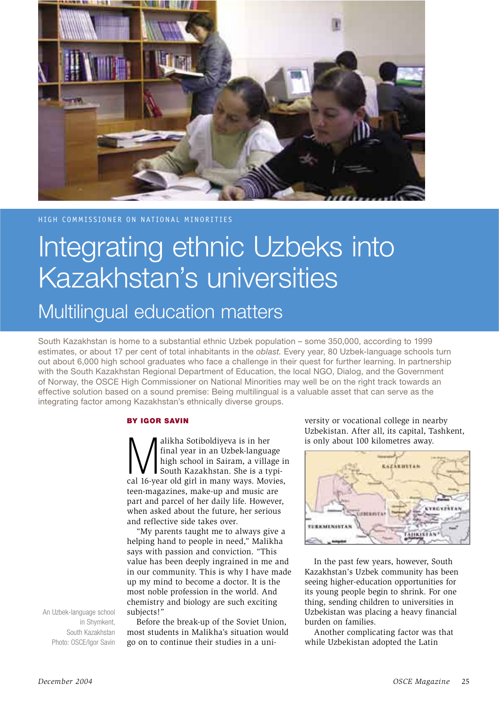

HIGH COMMISSIONER ON NATIONAL MINORITIES

## Integrating ethnic Uzbeks into Kazakhstan's universities

## Multilingual education matters

South Kazakhstan is home to a substantial ethnic Uzbek population – some 350,000, according to 1999 estimates, or about 17 per cent of total inhabitants in the oblast. Every year, 80 Uzbek-language schools turn out about 6,000 high school graduates who face a challenge in their quest for further learning. In partnership with the South Kazakhstan Regional Department of Education, the local NGO, Dialog, and the Government of Norway, the OSCE High Commissioner on National Minorities may well be on the right track towards an effective solution based on a sound premise: Being multilingual is a valuable asset that can serve as the integrating factor among Kazakhstan's ethnically diverse groups.

## **BY IGOR SAVIN**

alikha Sotiboldiyeva is in her final year in an Uzbek-language high school in Sairam, a village in South Kazakhstan. She is a typical 16-year old girl in many ways. Movies, teen-magazines, make-up and music are part and parcel of her daily life. However, when asked about the future, her serious and reflective side takes over.

"My parents taught me to always give a helping hand to people in need," Malikha says with passion and conviction. "This value has been deeply ingrained in me and in our community. This is why I have made up my mind to become a doctor. It is the most noble profession in the world. And chemistry and biology are such exciting subjects!"

An Uzbek-language school in Shymkent. South Kazakhstan Photo: OSCE/Igor Savin

Before the break-up of the Soviet Union. most students in Malikha's situation would go on to continue their studies in a university or vocational college in nearby Uzbekistan. After all, its capital, Tashkent, is only about 100 kilometres away.



In the past few years, however, South Kazakhstan's Uzbek community has been seeing higher-education opportunities for its young people begin to shrink. For one thing, sending children to universities in Uzbekistan was placing a heavy financial burden on families.

Another complicating factor was that while Uzbekistan adopted the Latin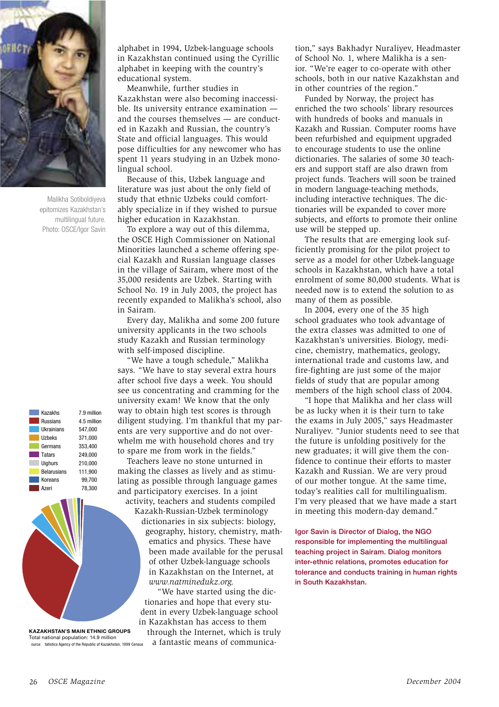

Malikha Sotiboldiyeva epitomizes Kazakhstan's multilingual future. Photo: OSCE/Igor Savin

| Kazakhs            | 7.9 millio |  |
|--------------------|------------|--|
| Russians           | 4.5 millio |  |
| <b>Ilkrainians</b> | 547.000    |  |
| Uzbeks             | 371,000    |  |
| Germans            | 353.400    |  |
| <b>Tatars</b>      | 249.000    |  |
| <b>Uighurs</b>     | 210.000    |  |
| <b>Belarusians</b> | 111.900    |  |
| Koreans            | 99,700     |  |
| Azeri              | 78.300     |  |
|                    |            |  |

**KAZAKHSTAN'S MAIN ETHNIC GROUPS** Total national population: 14.9 million ource: tatistics Agency of the Republic of Kazakhstan, 1999 Census

alphabet in 1994, Uzbek-language schools in Kazakhstan continued using the Cyrillic alphabet in keeping with the country's educational system.

Meanwhile, further studies in Kazakhstan were also becoming inaccessible. Its university entrance examination and the courses themselves - are conducted in Kazakh and Russian, the country's State and official languages. This would pose difficulties for any newcomer who has spent 11 years studying in an Uzbek monolingual school.

Because of this, Uzbek language and literature was just about the only field of study that ethnic Uzbeks could comfortably specialize in if they wished to pursue higher education in Kazakhstan.

To explore a way out of this dilemma, the OSCE High Commissioner on National Minorities launched a scheme offering special Kazakh and Russian language classes in the village of Sairam, where most of the 35,000 residents are Uzbek. Starting with School No. 19 in July 2003, the project has recently expanded to Malikha's school, also in Sairam.

Every day, Malikha and some 200 future university applicants in the two schools study Kazakh and Russian terminology with self-imposed discipline.

"We have a tough schedule," Malikha says. "We have to stay several extra hours after school five days a week. You should see us concentrating and cramming for the university exam! We know that the only way to obtain high test scores is through diligent studying. I'm thankful that my parents are very supportive and do not overwhelm me with household chores and try to spare me from work in the fields."

Teachers leave no stone unturned in making the classes as lively and as stimulating as possible through language games and participatory exercises. In a joint

activity, teachers and students compiled Kazakh-Russian-Uzbek terminology dictionaries in six subjects: biology, geography, history, chemistry, mathematics and physics. These have been made available for the perusal of other Uzbek-language schools in Kazakhstan on the Internet, at www.natminedukz.org.

"We have started using the dictionaries and hope that every student in every Uzbek-language school in Kazakhstan has access to them through the Internet, which is truly

a fantastic means of communica-

tion," says Bakhadyr Nuraliyev, Headmaster of School No. 1, where Malikha is a senior. "We're eager to co-operate with other schools, both in our native Kazakhstan and in other countries of the region."

Funded by Norway, the project has enriched the two schools' library resources with hundreds of books and manuals in Kazakh and Russian. Computer rooms have been refurbished and equipment upgraded to encourage students to use the online dictionaries. The salaries of some 30 teachers and support staff are also drawn from project funds. Teachers will soon be trained in modern language-teaching methods, including interactive techniques. The dictionaries will be expanded to cover more subjects, and efforts to promote their online use will be stepped up.

The results that are emerging look sufficiently promising for the pilot project to serve as a model for other Uzbek-language schools in Kazakhstan, which have a total enrolment of some 80,000 students. What is needed now is to extend the solution to as many of them as possible.

In 2004, every one of the 35 high school graduates who took advantage of the extra classes was admitted to one of Kazakhstan's universities. Biology, medicine, chemistry, mathematics, geology, international trade and customs law, and fire-fighting are just some of the major fields of study that are popular among members of the high school class of 2004.

"I hope that Malikha and her class will be as lucky when it is their turn to take the exams in July 2005," says Headmaster Nuraliyev. "Junior students need to see that the future is unfolding positively for the new graduates; it will give them the confidence to continue their efforts to master Kazakh and Russian. We are very proud of our mother tongue. At the same time, today's realities call for multilingualism. I'm very pleased that we have made a start in meeting this modern-day demand."

Igor Savin is Director of Dialog, the NGO responsible for implementing the multilingual teaching project in Sairam. Dialog monitors inter-ethnic relations, promotes education for tolerance and conducts training in human rights in South Kazakhstan.